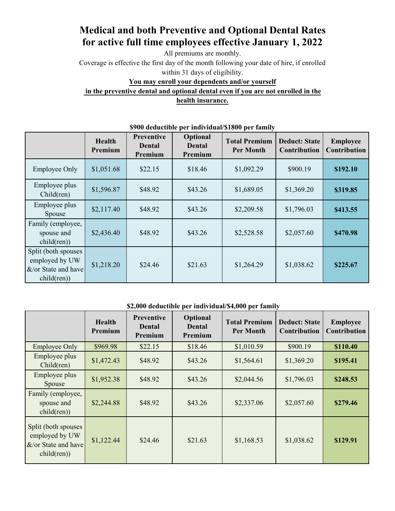# **Medical and both Preventive and Optional Dental Rates for active full time employees effective January 1, 2022**

All premiums are monthly.

Coverage is effective the first day of the month following your date of hire, if enrolled within 31 days of eligibility.

#### **You may enroll your dependents and/or yourself**

 **in the preventive dental and optional dental even if you are not enrolled in the** 

**health insurance.** 

| 9200 асаасырге рег таагымам 91000 рег таппиу                                |                          |                                               |                                      |                                          |                                      |                                        |
|-----------------------------------------------------------------------------|--------------------------|-----------------------------------------------|--------------------------------------|------------------------------------------|--------------------------------------|----------------------------------------|
|                                                                             | <b>Health</b><br>Premium | <b>Preventive</b><br><b>Dental</b><br>Premium | Optional<br><b>Dental</b><br>Premium | <b>Total Premium</b><br><b>Per Month</b> | <b>Deduct: State</b><br>Contribution | <b>Employee</b><br><b>Contribution</b> |
| Employee Only                                                               | \$1,051.68               | \$22.15                                       | \$18.46                              | \$1,092.29                               | \$900.19                             | \$192.10                               |
| Employee plus<br>Child(ren)                                                 | \$1,596.87               | \$48.92                                       | \$43.26                              | \$1,689.05                               | \$1,369.20                           | \$319.85                               |
| Employee plus<br>Spouse                                                     | \$2,117.40               | \$48.92                                       | \$43.26                              | \$2,209.58                               | \$1,796.03                           | \$413.55                               |
| Family (employee,<br>spouse and<br>child(ren))                              | \$2,436.40               | \$48.92                                       | \$43.26                              | \$2,528.58                               | \$2,057.60                           | \$470.98                               |
| Split (both spouses<br>employed by UW<br>&/or State and have<br>child(ren)) | \$1,218.20               | \$24.46                                       | \$21.63                              | \$1,264.29                               | \$1,038.62                           | \$225.67                               |

#### **\$900 deductible per individual/\$1800 per family**

#### **\$2,000 deductible per individual/\$4,000 per family**

|                                                                             | <b>Health</b><br><b>Premium</b> | Preventive<br>Dental<br><b>Premium</b> | Optional<br><b>Dental</b><br><b>Premium</b> | <b>Total Premium</b><br><b>Per Month</b> | <b>Deduct: State</b><br><b>Contribution</b> | <b>Employee</b><br><b>Contribution</b> |
|-----------------------------------------------------------------------------|---------------------------------|----------------------------------------|---------------------------------------------|------------------------------------------|---------------------------------------------|----------------------------------------|
| <b>Employee Only</b>                                                        | \$969.98                        | \$22.15                                | \$18.46                                     | \$1,010.59                               | \$900.19                                    | \$110.40                               |
| Employee plus<br>Child(ren)                                                 | \$1,472.43                      | \$48.92                                | \$43.26                                     | \$1,564.61                               | \$1,369.20                                  | \$195.41                               |
| Employee plus<br>Spouse                                                     | \$1,952.38                      | \$48.92                                | \$43.26                                     | \$2,044.56                               | \$1,796.03                                  | \$248.53                               |
| Family (employee,<br>spouse and<br>child(ren))                              | \$2,244.88                      | \$48.92                                | \$43.26                                     | \$2,337.06                               | \$2,057.60                                  | \$279.46                               |
| Split (both spouses<br>employed by UW<br>&/or State and have<br>child(ren)) | \$1,122.44                      | \$24.46                                | \$21.63                                     | \$1,168.53                               | \$1,038.62                                  | \$129.91                               |